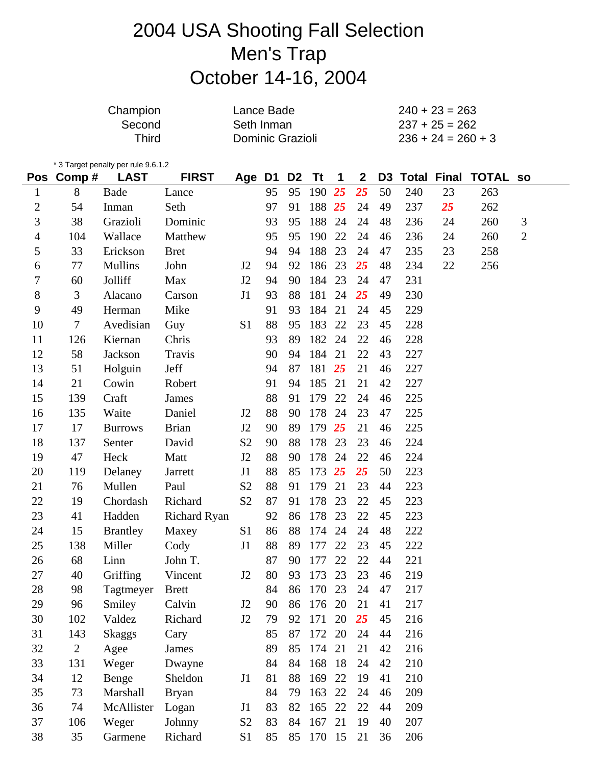# 2004 USA Shooting Fall Selection Men's Trap October 14-16, 2004

| Champion | Lance Bade       | $240 + 23 = 263$     |
|----------|------------------|----------------------|
| Second   | Seth Inman       | $237 + 25 = 262$     |
| Third    | Dominic Grazioli | $236 + 24 = 260 + 3$ |

\* 3 Target penalty per rule  $9.6.1.2$ <br> **Pos.** Comp  $\#$  **LAST** 

|                  | Pos Comp#      | <b>LAST</b>     | <b>FIRST</b>        | Age            | D1 | D <sub>2</sub> | <b>Tt</b> | 1   | $\boldsymbol{2}$ | D <sub>3</sub> |     |    | <b>Total Final TOTAL so</b> |                |
|------------------|----------------|-----------------|---------------------|----------------|----|----------------|-----------|-----|------------------|----------------|-----|----|-----------------------------|----------------|
| $\mathbf{1}$     | 8              | Bade            | Lance               |                | 95 | 95             | 190       | 25  | 25               | 50             | 240 | 23 | 263                         |                |
| $\overline{c}$   | 54             | Inman           | Seth                |                | 97 | 91             | 188 25    |     | 24               | 49             | 237 | 25 | 262                         |                |
| 3                | 38             | Grazioli        | Dominic             |                | 93 | 95             | 188       | 24  | 24               | 48             | 236 | 24 | 260                         | 3              |
| $\overline{4}$   | 104            | Wallace         | Matthew             |                | 95 | 95             | 190       | 22  | 24               | 46             | 236 | 24 | 260                         | $\overline{2}$ |
| 5                | 33             | Erickson        | <b>Bret</b>         |                | 94 | 94             | 188       | 23  | 24               | 47             | 235 | 23 | 258                         |                |
| 6                | 77             | <b>Mullins</b>  | John                | J2             | 94 | 92             | 186       | 23  | 25               | 48             | 234 | 22 | 256                         |                |
| $\boldsymbol{7}$ | 60             | Jolliff         | Max                 | J2             | 94 | 90             | 184       | 23  | 24               | 47             | 231 |    |                             |                |
| 8                | 3              | Alacano         | Carson              | J1             | 93 | 88             | 181       | 24  | 25               | 49             | 230 |    |                             |                |
| 9                | 49             | Herman          | Mike                |                | 91 | 93             | 184       | 21  | 24               | 45             | 229 |    |                             |                |
| 10               | $\tau$         | Avedisian       | Guy                 | S1             | 88 | 95             | 183       | 22  | 23               | 45             | 228 |    |                             |                |
| 11               | 126            | Kiernan         | Chris               |                | 93 | 89             | 182 24    |     | 22               | 46             | 228 |    |                             |                |
| 12               | 58             | Jackson         | Travis              |                | 90 | 94             | 184       | 21  | 22               | 43             | 227 |    |                             |                |
| 13               | 51             | Holguin         | Jeff                |                | 94 | 87             | 181 25    |     | 21               | 46             | 227 |    |                             |                |
| 14               | 21             | Cowin           | Robert              |                | 91 | 94             | 185       | 21  | 21               | 42             | 227 |    |                             |                |
| 15               | 139            | Craft           | James               |                | 88 | 91             | 179       | 22  | 24               | 46             | 225 |    |                             |                |
| 16               | 135            | Waite           | Daniel              | J <sub>2</sub> | 88 | 90             | 178       | 24  | 23               | 47             | 225 |    |                             |                |
| 17               | 17             | <b>Burrows</b>  | <b>Brian</b>        | J2             | 90 | 89             | 179       | 25  | 21               | 46             | 225 |    |                             |                |
| 18               | 137            | Senter          | David               | S <sub>2</sub> | 90 | 88             | 178       | 23  | 23               | 46             | 224 |    |                             |                |
| 19               | 47             | Heck            | Matt                | J2             | 88 | 90             | 178       | 24  | 22               | 46             | 224 |    |                             |                |
| 20               | 119            | Delaney         | Jarrett             | J1             | 88 | 85             | 173       | 25  | 25               | 50             | 223 |    |                             |                |
| 21               | 76             | Mullen          | Paul                | S <sub>2</sub> | 88 | 91             | 179       | 21  | 23               | 44             | 223 |    |                             |                |
| 22               | 19             | Chordash        | Richard             | S <sub>2</sub> | 87 | 91             | 178       | 23  | 22               | 45             | 223 |    |                             |                |
| 23               | 41             | Hadden          | <b>Richard Ryan</b> |                | 92 | 86             | 178       | 23  | 22               | 45             | 223 |    |                             |                |
| 24               | 15             | <b>Brantley</b> | Maxey               | S1             | 86 | 88             | 174       | 24  | 24               | 48             | 222 |    |                             |                |
| 25               | 138            | Miller          | Cody                | J1             | 88 | 89             | 177       | 22  | 23               | 45             | 222 |    |                             |                |
| 26               | 68             | Linn            | John T.             |                | 87 | 90             | 177       | 22  | 22               | 44             | 221 |    |                             |                |
| 27               | 40             | Griffing        | Vincent             | J <sub>2</sub> | 80 | 93             | 173       | 23  | 23               | 46             | 219 |    |                             |                |
| 28               | 98             | Tagtmeyer       | <b>Brett</b>        |                | 84 | 86             | 170       | 23  | 24               | 47             | 217 |    |                             |                |
| 29               | 96             | Smiley          | Calvin              | J2             | 90 |                | 86 176 20 |     | 21               | 41             | 217 |    |                             |                |
| 30               | 102            | Valdez          | Richard             | J2             | 79 | 92             | 171       | 20  | 25               | 45             | 216 |    |                             |                |
| 31               | 143            | <b>Skaggs</b>   | Cary                |                | 85 | 87             | 172       | 20  | 24               | 44             | 216 |    |                             |                |
| 32               | $\overline{2}$ | Agee            | James               |                | 89 | 85             | 174       | 21  | 21               | 42             | 216 |    |                             |                |
| 33               | 131            | Weger           | Dwayne              |                | 84 | 84             | 168       | -18 | 24               | 42             | 210 |    |                             |                |
| 34               | 12             | Benge           | Sheldon             | J1             | 81 | 88             | 169       | 22  | 19               | 41             | 210 |    |                             |                |
| 35               | 73             | Marshall        | <b>Bryan</b>        |                | 84 | 79             | 163 22    |     | 24               | 46             | 209 |    |                             |                |
| 36               | 74             | McAllister      | Logan               | J1             | 83 | 82             | 165       | 22  | 22               | 44             | 209 |    |                             |                |
| 37               | 106            | Weger           | Johnny              | S <sub>2</sub> | 83 | 84             | 167 21    |     | 19               | 40             | 207 |    |                             |                |
| 38               | 35             | Garmene         | Richard             | S1             | 85 |                | 85 170 15 |     | 21               | 36             | 206 |    |                             |                |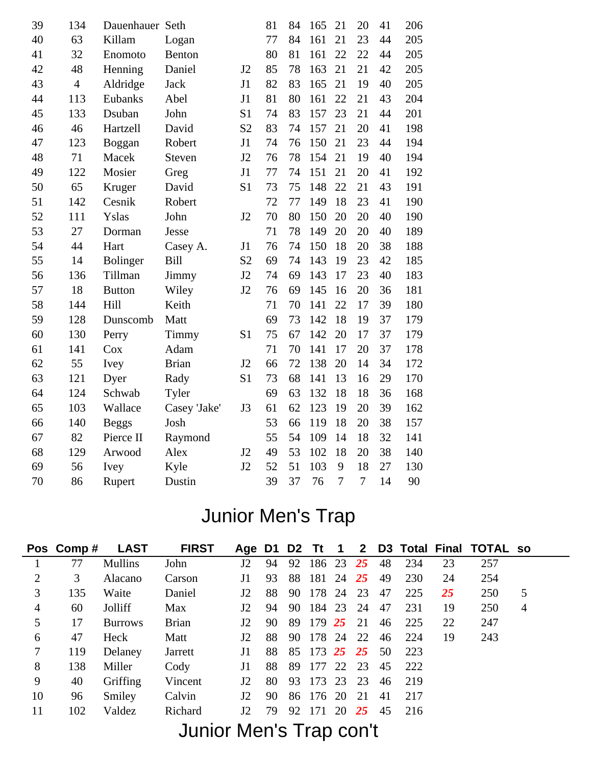| 39 | 134            | Dauenhauer Seth |              |                | 81 | 84 | 165 | 21             | 20             | 41 | 206 |
|----|----------------|-----------------|--------------|----------------|----|----|-----|----------------|----------------|----|-----|
| 40 | 63             | Killam          | Logan        |                | 77 | 84 | 161 | 21             | 23             | 44 | 205 |
| 41 | 32             | Enomoto         | Benton       |                | 80 | 81 | 161 | 22             | 22             | 44 | 205 |
| 42 | 48             | Henning         | Daniel       | J2             | 85 | 78 | 163 | 21             | 21             | 42 | 205 |
| 43 | $\overline{4}$ | Aldridge        | <b>Jack</b>  | J1             | 82 | 83 | 165 | 21             | 19             | 40 | 205 |
| 44 | 113            | Eubanks         | Abel         | J1             | 81 | 80 | 161 | 22             | 21             | 43 | 204 |
| 45 | 133            | Dsuban          | John         | S <sub>1</sub> | 74 | 83 | 157 | 23             | 21             | 44 | 201 |
| 46 | 46             | Hartzell        | David        | S <sub>2</sub> | 83 | 74 | 157 | 21             | 20             | 41 | 198 |
| 47 | 123            | Boggan          | Robert       | J1             | 74 | 76 | 150 | 21             | 23             | 44 | 194 |
| 48 | 71             | Macek           | Steven       | J2             | 76 | 78 | 154 | 21             | 19             | 40 | 194 |
| 49 | 122            | Mosier          | Greg         | J1             | 77 | 74 | 151 | 21             | 20             | 41 | 192 |
| 50 | 65             | Kruger          | David        | S <sub>1</sub> | 73 | 75 | 148 | 22             | 21             | 43 | 191 |
| 51 | 142            | Cesnik          | Robert       |                | 72 | 77 | 149 | 18             | 23             | 41 | 190 |
| 52 | 111            | Yslas           | John         | J2             | 70 | 80 | 150 | 20             | 20             | 40 | 190 |
| 53 | 27             | Dorman          | Jesse        |                | 71 | 78 | 149 | 20             | 20             | 40 | 189 |
| 54 | 44             | Hart            | Casey A.     | J1             | 76 | 74 | 150 | 18             | 20             | 38 | 188 |
| 55 | 14             | <b>Bolinger</b> | <b>Bill</b>  | S <sub>2</sub> | 69 | 74 | 143 | 19             | 23             | 42 | 185 |
| 56 | 136            | Tillman         | Jimmy        | J2             | 74 | 69 | 143 | 17             | 23             | 40 | 183 |
| 57 | 18             | <b>Button</b>   | Wiley        | J2             | 76 | 69 | 145 | 16             | 20             | 36 | 181 |
| 58 | 144            | Hill            | Keith        |                | 71 | 70 | 141 | 22             | 17             | 39 | 180 |
| 59 | 128            | Dunscomb        | Matt         |                | 69 | 73 | 142 | 18             | 19             | 37 | 179 |
| 60 | 130            | Perry           | Timmy        | S <sub>1</sub> | 75 | 67 | 142 | 20             | $17\,$         | 37 | 179 |
| 61 | 141            | Cox             | Adam         |                | 71 | 70 | 141 | 17             | 20             | 37 | 178 |
| 62 | 55             | Ivey            | <b>Brian</b> | J2             | 66 | 72 | 138 | 20             | 14             | 34 | 172 |
| 63 | 121            | Dyer            | Rady         | S <sub>1</sub> | 73 | 68 | 141 | 13             | 16             | 29 | 170 |
| 64 | 124            | Schwab          | Tyler        |                | 69 | 63 | 132 | 18             | 18             | 36 | 168 |
| 65 | 103            | Wallace         | Casey 'Jake' | J3             | 61 | 62 | 123 | 19             | 20             | 39 | 162 |
| 66 | 140            | <b>Beggs</b>    | Josh         |                | 53 | 66 | 119 | 18             | 20             | 38 | 157 |
| 67 | 82             | Pierce II       | Raymond      |                | 55 | 54 | 109 | 14             | 18             | 32 | 141 |
| 68 | 129            | Arwood          | Alex         | J2             | 49 | 53 | 102 | 18             | 20             | 38 | 140 |
| 69 | 56             | Ivey            | Kyle         | J2             | 52 | 51 | 103 | 9              | 18             | 27 | 130 |
| 70 | 86             | Rupert          | Dustin       |                | 39 | 37 | 76  | $\overline{7}$ | $\overline{7}$ | 14 | 90  |

# Junior Men's Trap

|                | Pos Comp# | <b>LAST</b>    | <b>FIRST</b>                  | Age D1 D2 Tt $1$ |    |     |              |    |           |    |     |    | 2 D3 Total Final TOTAL so |                |
|----------------|-----------|----------------|-------------------------------|------------------|----|-----|--------------|----|-----------|----|-----|----|---------------------------|----------------|
|                | 77        | <b>Mullins</b> | John                          | J2               | 94 |     | 92 186 23 25 |    |           | 48 | 234 | 23 | 257                       |                |
| 2              | 3         | Alacano        | Carson                        | J1               | 93 | 88  | 181          | 24 | <b>25</b> | 49 | 230 | 24 | 254                       |                |
| 3              | 135       | Waite          | Daniel                        | J2               | 88 | 90  | 178 24       |    | 23        | 47 | 225 | 25 | 250                       | 5              |
| $\overline{4}$ | 60        | Jolliff        | Max                           | J2               | 94 | 90  | 184          | 23 | - 24      | 47 | 231 | 19 | 250                       | $\overline{4}$ |
| 5              | 17        | <b>Burrows</b> | <b>Brian</b>                  | J2               | 90 | 89  | 179 25       |    | 21        | 46 | 225 | 22 | 247                       |                |
| 6              | 47        | Heck           | Matt                          | J2               | 88 | 90. | 178 24 22    |    |           | 46 | 224 | 19 | 243                       |                |
| 7              | 119       | Delaney        | Jarrett                       | J1               | 88 | 85  | 173 25 25    |    |           | 50 | 223 |    |                           |                |
| 8              | 138       | Miller         | Cody                          | J1               | 88 | 89  | 177 22 23    |    |           | 45 | 222 |    |                           |                |
| 9              | 40        | Griffing       | Vincent                       | J2               | 80 | 93  | 173 23       |    | 23        | 46 | 219 |    |                           |                |
| 10             | 96        | Smiley         | Calvin                        | J2               | 90 |     | 86 176 20    |    | 21        | 41 | 217 |    |                           |                |
| 11             | 102       | Valdez         | Richard                       | J2               | 79 | 92  | -171         | 20 | 25        | 45 | 216 |    |                           |                |
|                |           |                | $l$ unior $M$ on'o Tron con't |                  |    |     |              |    |           |    |     |    |                           |                |

#### Junior Men's Trap con't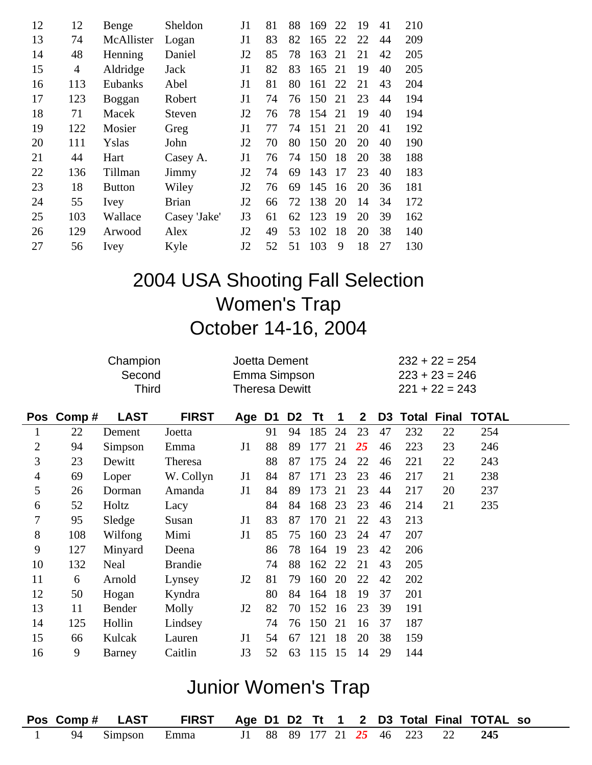| 12 | 12  | Benge         | Sheldon      | J1             | 81 | 88 | 169 | 22 | 19 | 41 | 210 |
|----|-----|---------------|--------------|----------------|----|----|-----|----|----|----|-----|
| 13 | 74  | McAllister    | Logan        | J1             | 83 | 82 | 165 | 22 | 22 | 44 | 209 |
| 14 | 48  | Henning       | Daniel       | J <sub>2</sub> | 85 | 78 | 163 | 21 | 21 | 42 | 205 |
| 15 | 4   | Aldridge      | Jack         | J1             | 82 | 83 | 165 | 21 | 19 | 40 | 205 |
| 16 | 113 | Eubanks       | Abel         | J1             | 81 | 80 | 161 | 22 | 21 | 43 | 204 |
| 17 | 123 | Boggan        | Robert       | J <sub>1</sub> | 74 | 76 | 150 | 21 | 23 | 44 | 194 |
| 18 | 71  | Macek         | Steven       | J2             | 76 | 78 | 154 | 21 | 19 | 40 | 194 |
| 19 | 122 | Mosier        | Greg         | J1             | 77 | 74 | 151 | 21 | 20 | 41 | 192 |
| 20 | 111 | Yslas         | John         | J <sub>2</sub> | 70 | 80 | 150 | 20 | 20 | 40 | 190 |
| 21 | 44  | Hart          | Casey A.     | J1             | 76 | 74 | 150 | 18 | 20 | 38 | 188 |
| 22 | 136 | Tillman       | Jimmy        | J2             | 74 | 69 | 143 | 17 | 23 | 40 | 183 |
| 23 | 18  | <b>Button</b> | Wiley        | J2             | 76 | 69 | 145 | 16 | 20 | 36 | 181 |
| 24 | 55  | Ivey          | <b>Brian</b> | J2             | 66 | 72 | 138 | 20 | 14 | 34 | 172 |
| 25 | 103 | Wallace       | Casey 'Jake' | J3             | 61 | 62 | 123 | 19 | 20 | 39 | 162 |
| 26 | 129 | Arwood        | Alex         | J2             | 49 | 53 | 102 | 18 | 20 | 38 | 140 |
| 27 | 56  | Ivey          | Kyle         | J2             | 52 | 51 | 103 | 9  | 18 | 27 | 130 |
|    |     |               |              |                |    |    |     |    |    |    |     |

# 2004 USA Shooting Fall Selection Women's Trap October 14-16, 2004

|                |           | Champion     | Joetta Dement  |                       |    |                |     |     |              |                | $232 + 22 = 254$ |                  |                          |  |
|----------------|-----------|--------------|----------------|-----------------------|----|----------------|-----|-----|--------------|----------------|------------------|------------------|--------------------------|--|
|                |           | Second       |                | Emma Simpson          |    |                |     |     |              |                |                  | $223 + 23 = 246$ |                          |  |
|                |           | <b>Third</b> |                | <b>Theresa Dewitt</b> |    |                |     |     |              |                |                  | $221 + 22 = 243$ |                          |  |
|                | Pos Comp# | <b>LAST</b>  | <b>FIRST</b>   | Age D1                |    | D <sub>2</sub> | Tt  | 1   | $\mathbf{2}$ | D <sub>3</sub> |                  |                  | <b>Total Final TOTAL</b> |  |
| $\bf{1}$       | 22        | Dement       | Joetta         |                       | 91 | 94             | 185 | 24  | 23           | 47             | 232              | 22               | 254                      |  |
| 2              | 94        | Simpson      | Emma           | J1                    | 88 | 89             | 177 | 21  | 25           | 46             | 223              | 23               | 246                      |  |
| 3              | 23        | Dewitt       | Theresa        |                       | 88 | 87             | 175 | 24  | 22           | 46             | 221              | 22               | 243                      |  |
| $\overline{4}$ | 69        | Loper        | W. Collyn      | J1                    | 84 | 87             | 171 | 23  | 23           | 46             | 217              | 21               | 238                      |  |
| 5              | 26        | Dorman       | Amanda         | J1                    | 84 | 89             | 173 | 21  | 23           | 44             | 217              | 20               | 237                      |  |
| 6              | 52        | Holtz        | Lacy           |                       | 84 | 84             | 168 | 23  | 23           | 46             | 214              | 21               | 235                      |  |
| 7              | 95        | Sledge       | Susan          | J1                    | 83 | 87             | 170 | 21  | 22           | 43             | 213              |                  |                          |  |
| 8              | 108       | Wilfong      | Mimi           | J1                    | 85 | 75             | 160 | 23  | 24           | 47             | 207              |                  |                          |  |
| 9              | 127       | Minyard      | Deena          |                       | 86 | 78             | 164 | -19 | 23           | 42             | 206              |                  |                          |  |
| 10             | 132       | Neal         | <b>Brandie</b> |                       | 74 | 88             | 162 | 22  | 21           | 43             | 205              |                  |                          |  |
| 11             | 6         | Arnold       | Lynsey         | J <sub>2</sub>        | 81 | 79             | 160 | 20  | 22           | 42             | 202              |                  |                          |  |
| 12             | 50        | Hogan        | Kyndra         |                       | 80 | 84             | 164 | 18  | 19           | 37             | 201              |                  |                          |  |
| 13             | 11        | Bender       | Molly          | J2                    | 82 | 70             | 152 | 16  | 23           | 39             | 191              |                  |                          |  |
| 14             | 125       | Hollin       | Lindsey        |                       | 74 | 76             | 150 | 21  | 16           | 37             | 187              |                  |                          |  |
| 15             | 66        | Kulcak       | Lauren         | J1                    | 54 | 67             | 121 | 18  | 20           | 38             | 159              |                  |                          |  |
| 16             | 9         | Barney       | Caitlin        | J3                    | 52 | 63             | 115 | 15  | 14           | 29             | 144              |                  |                          |  |

### Junior Women's Trap

|  | Pos Comp # LAST FIRST Age D1 D2 Tt 1 2 D3 Total Final TOTAL so |  |  |  |  |  |  |
|--|----------------------------------------------------------------|--|--|--|--|--|--|
|  | 94 Simpson Emma 11 88 89 177 21 25 46 223 22 245               |  |  |  |  |  |  |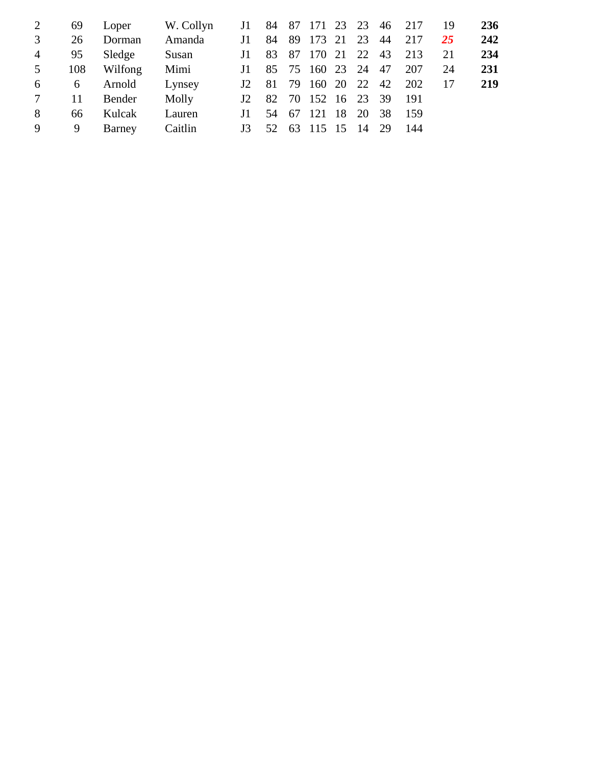| 2               | 69  | Loper   | W. Collyn | J1  |               |       |                    |  | 84 87 171 23 23 46 217 | 19 | 236 |
|-----------------|-----|---------|-----------|-----|---------------|-------|--------------------|--|------------------------|----|-----|
| 3               | 26  | Dorman  | Amanda    | J1  |               |       | 84 89 173 21 23 44 |  | 217                    | 25 | 242 |
| $\overline{4}$  | 95  | Sledge  | Susan     | J1. |               |       | 83 87 170 21 22 43 |  | 213                    | 21 | 234 |
| 5               | 108 | Wilfong | Mimi      | J1. |               |       | 85 75 160 23 24 47 |  | 207                    | 24 | 231 |
| 6               | 6   | Arnold  | Lynsey    |     | $J2 \quad 81$ |       | 79 160 20 22 42    |  | 202                    | 17 | 219 |
| $7\phantom{.0}$ | 11  | Bender  | Molly     | J2  |               |       | 82 70 152 16 23 39 |  | - 191                  |    |     |
| 8               | 66  | Kulcak  | Lauren    | J1. |               | 54 67 | 121 18 20 38       |  | - 159                  |    |     |
| 9               | 9   | Barney  | Caitlin   | J3  |               |       | 52 63 115 15 14 29 |  | -144                   |    |     |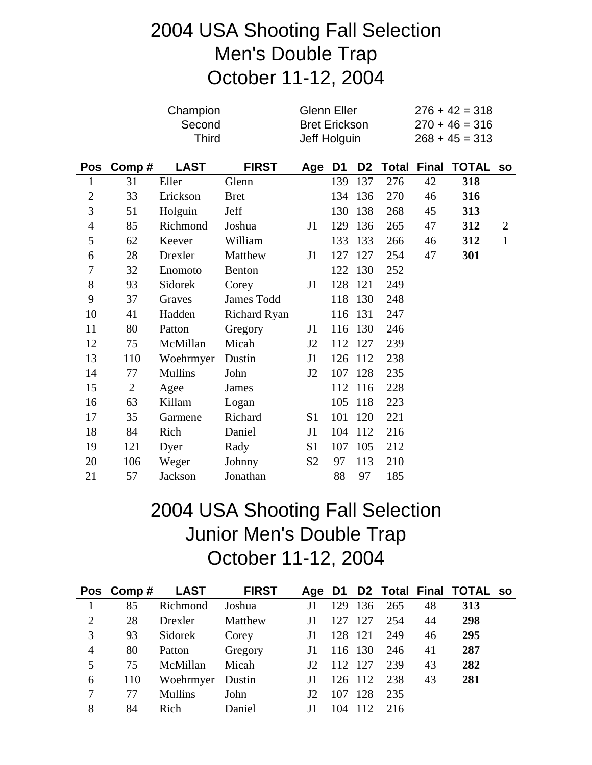# 2004 USA Shooting Fall Selection Men's Double Trap October 11-12, 2004

|                |                | Champion<br>Second<br><b>Third</b><br><b>LAST</b><br><b>FIRST</b> |               |                | Glenn Eller<br><b>Bret Erickson</b><br>Jeff Holguin |                |       |              | $276 + 42 = 318$<br>$270 + 46 = 316$<br>$268 + 45 = 313$ |                |
|----------------|----------------|-------------------------------------------------------------------|---------------|----------------|-----------------------------------------------------|----------------|-------|--------------|----------------------------------------------------------|----------------|
| Pos            | Comp#          |                                                                   |               | Age            | D <sub>1</sub>                                      | D <sub>2</sub> | Total | <b>Final</b> | <b>TOTAL</b>                                             | <b>SO</b>      |
| $\mathbf{1}$   | 31             | Eller                                                             | Glenn         |                | 139                                                 | 137            | 276   | 42           | 318                                                      |                |
| $\mathbf{2}$   | 33             | Erickson                                                          | <b>Bret</b>   |                | 134                                                 | 136            | 270   | 46           | 316                                                      |                |
| 3              | 51             | Holguin                                                           | Jeff          |                | 130                                                 | 138            | 268   | 45           | 313                                                      |                |
| $\overline{4}$ | 85             | Richmond                                                          | Joshua        | J1             | 129                                                 | 136            | 265   | 47           | 312                                                      | $\overline{2}$ |
| 5              | 62             | Keever                                                            | William       |                | 133                                                 | 133            | 266   | 46           | 312                                                      | $\mathbf{1}$   |
| 6              | 28             | Drexler                                                           | Matthew       | J1             | 127                                                 | 127            | 254   | 47           | 301                                                      |                |
| 7              | 32             | Enomoto                                                           | <b>Benton</b> |                | 122                                                 | 130            | 252   |              |                                                          |                |
| 8              | 93             | Sidorek                                                           | Corey         | J1             | 128                                                 | 121            | 249   |              |                                                          |                |
| 9              | 37             | Graves                                                            | James Todd    |                | 118                                                 | 130            | 248   |              |                                                          |                |
| 10             | 41             | Hadden                                                            | Richard Ryan  |                | 116                                                 | 131            | 247   |              |                                                          |                |
| 11             | 80             | Patton                                                            | Gregory       | J1             | 116                                                 | 130            | 246   |              |                                                          |                |
| 12             | 75             | McMillan                                                          | Micah         | J2             | 112                                                 | 127            | 239   |              |                                                          |                |
| 13             | 110            | Woehrmyer                                                         | Dustin        | J1             | 126                                                 | 112            | 238   |              |                                                          |                |
| 14             | 77             | <b>Mullins</b>                                                    | John          | J2             | 107                                                 | 128            | 235   |              |                                                          |                |
| 15             | $\overline{2}$ | Agee                                                              | James         |                | 112                                                 | 116            | 228   |              |                                                          |                |
| 16             | 63             | Killam                                                            | Logan         |                | 105                                                 | 118            | 223   |              |                                                          |                |
| 17             | 35             | Garmene                                                           | Richard       | S <sub>1</sub> | 101                                                 | 120            | 221   |              |                                                          |                |
| 18             | 84             | Rich                                                              | Daniel        | J1             | 104                                                 | 112            | 216   |              |                                                          |                |
| 19             | 121            | Dyer                                                              | Rady          | S <sub>1</sub> | 107                                                 | 105            | 212   |              |                                                          |                |
| 20             | 106            | Weger                                                             | Johnny        | S <sub>2</sub> | 97                                                  | 113            | 210   |              |                                                          |                |
| 21             | 57             | Jackson                                                           | Jonathan      |                | 88                                                  | 97             | 185   |              |                                                          |                |

# 2004 USA Shooting Fall Selection Junior Men's Double Trap October 11-12, 2004

|   | Pos Comp# | LAST             | <b>FIRST</b> |                 |         |         |     |    | Age D1 D2 Total Final TOTAL so |  |
|---|-----------|------------------|--------------|-----------------|---------|---------|-----|----|--------------------------------|--|
|   | 85        | Richmond         | Joshua       |                 | 129     | 136     | 265 | 48 | 313                            |  |
| 2 | 28        | Drexler          | Matthew      |                 | 127     | 127     | 254 | 44 | 298                            |  |
| 3 | 93        | Sidorek          | Corey        |                 | 128 121 |         | 249 | 46 | 295                            |  |
| 4 | 80        | Patton           | Gregory      |                 |         | 116 130 | 246 | 41 | 287                            |  |
| 5 | 75        | McMillan         | Micah        | 12 <sup>°</sup> | 112 127 |         | 239 | 43 | 282                            |  |
| 6 | 110       | Woehrmyer Dustin |              | J1              |         | 126 112 | 238 | 43 | 281                            |  |
|   | 77        | <b>Mullins</b>   | John         | J <sub>2</sub>  | 107     | 128     | 235 |    |                                |  |
| 8 | 84        | Rich             | Daniel       |                 | 104     | -112    | 216 |    |                                |  |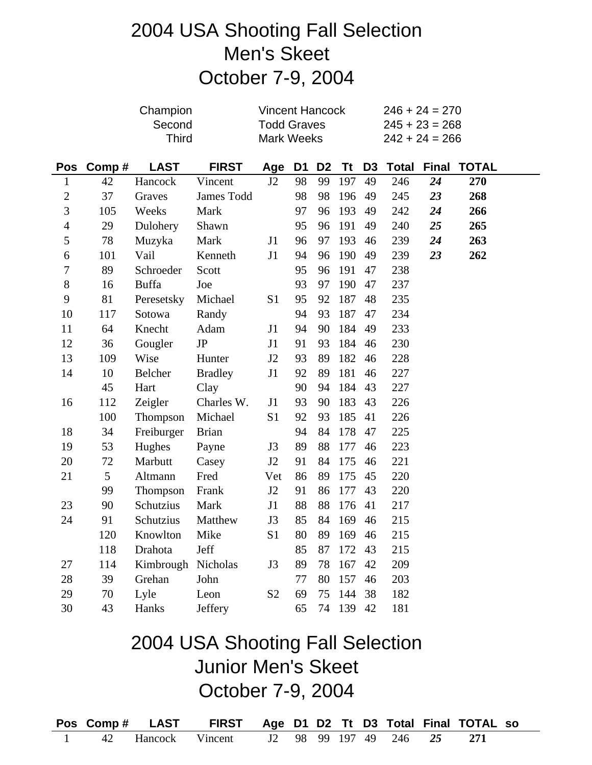# 2004 USA Shooting Fall Selection Men's Skeet October 7-9, 2004

|                          |       | Champion           | <b>Vincent Hancock</b>           |                    |                |                |           |                | $246 + 24 = 270$ |                  |                       |  |
|--------------------------|-------|--------------------|----------------------------------|--------------------|----------------|----------------|-----------|----------------|------------------|------------------|-----------------------|--|
|                          |       | Second             |                                  | <b>Todd Graves</b> |                |                |           |                |                  | $245 + 23 = 268$ |                       |  |
|                          |       | <b>Third</b>       |                                  | Mark Weeks         |                |                |           |                |                  | $242 + 24 = 266$ |                       |  |
| <b>Pos</b>               | Comp# | <b>LAST</b>        | <b>FIRST</b>                     | Age                | D <sub>1</sub> | D <sub>2</sub> | Tt        | D <sub>3</sub> | <b>Total</b>     | <b>Final</b>     | <b>TOTAL</b>          |  |
| $\mathbf{1}$             | 42    | Hancock            | Vincent                          | J2                 | 98             | 99             | 197       | 49             | 246              | 24               | 270                   |  |
| $\overline{c}$           | 37    | Graves             | James Todd                       |                    | 98             | 98             | 196       | 49             | 245              | 23               | 268                   |  |
| 3                        | 105   | Weeks              | Mark                             |                    | 97             | 96             | 193       | 49             | 242              | 24               | 266                   |  |
| $\overline{\mathcal{A}}$ | 29    | Dulohery           | Shawn                            |                    | 95             | 96             | 191       | 49             | 240              | 25               | 265                   |  |
| 5                        | 78    | Muzyka             | Mark                             | J1                 | 96             | 97             | 193       | 46             | 239              | 24               | 263                   |  |
| 6                        | 101   | Vail               | Kenneth                          | J1                 | 94             | 96             | 190       | 49             | 239              | 23               | 262                   |  |
| $\boldsymbol{7}$         | 89    | Schroeder          | Scott                            |                    | 95             | 96             | 191       | 47             | 238              |                  |                       |  |
| $8\,$                    | 16    | <b>Buffa</b>       | Joe                              |                    | 93             | 97             | 190       | 47             | 237              |                  |                       |  |
| 9                        | 81    | Peresetsky         | Michael                          | S1                 | 95             | 92             | 187       | 48             | 235              |                  |                       |  |
| 10                       | 117   | Sotowa             | Randy                            |                    | 94             | 93             | 187       | 47             | 234              |                  |                       |  |
| 11                       | 64    | Knecht             | Adam                             | J1                 | 94             | 90             | 184       | 49             | 233              |                  |                       |  |
| 12                       | 36    | Gougler            | $\rm{JP}$                        | J1                 | 91             | 93             | 184       | 46             | 230              |                  |                       |  |
| 13                       | 109   | Wise               | Hunter                           | J2                 | 93             | 89             | 182       | 46             | 228              |                  |                       |  |
| 14                       | 10    | Belcher            | <b>Bradley</b>                   | J1                 | 92             | 89             | 181       | 46             | 227              |                  |                       |  |
|                          | 45    | Hart               | Clay                             |                    | 90             | 94             | 184       | 43             | 227              |                  |                       |  |
| 16                       | 112   | Zeigler            | Charles W.                       | J1                 | 93             | 90             | 183       | 43             | 226              |                  |                       |  |
|                          | 100   | Thompson           | Michael                          | S1                 | 92             | 93             | 185       | 41             | 226              |                  |                       |  |
| 18                       | 34    | Freiburger         | <b>Brian</b>                     |                    | 94             | 84             | 178       | 47             | 225              |                  |                       |  |
| 19                       | 53    | Hughes             | Payne                            | J3                 | 89             | 88             | 177       | 46             | 223              |                  |                       |  |
| 20                       | 72    | Marbutt            | Casey                            | J2                 | 91             | 84             | 175       | 46             | 221              |                  |                       |  |
| 21                       | 5     | Altmann            | Fred                             | Vet                | 86             | 89             | 175       | 45             | 220              |                  |                       |  |
|                          | 99    | Thompson           | Frank                            | J2                 | 91             | 86             | 177       | 43             | 220              |                  |                       |  |
| 23                       | 90    | Schutzius          | Mark                             | J1                 | 88             | 88             | 176       | 41             | 217              |                  |                       |  |
| 24                       | 91    | Schutzius          | Matthew                          | J3                 | 85             | 84             | 169       | 46             | 215              |                  |                       |  |
|                          | 120   | Knowlton           | Mike                             | S1                 | 80             |                | 89 169 46 |                | 215              |                  |                       |  |
|                          | 118   | Drahota            | Jeff                             |                    | 85             | 87             | 172       | 43             | 215              |                  |                       |  |
| 27                       | 114   | Kimbrough Nicholas |                                  | J3                 | 89             | 78             | 167       | 42             | 209              |                  |                       |  |
| 28                       | 39    | Grehan             | John                             |                    | 77             | 80             | 157       | 46             | 203              |                  |                       |  |
| 29                       | 70    | Lyle               | Leon                             | S <sub>2</sub>     | 69             | 75             | 144       | 38             | 182              |                  |                       |  |
| 30                       | 43    | Hanks              | <b>Jeffery</b>                   |                    | 65             | 74             | 139 42    |                | 181              |                  |                       |  |
|                          |       |                    | 2004 USA Shooting Fall Selection |                    |                |                |           |                |                  |                  |                       |  |
|                          |       |                    | <b>Junior Men's Skeet</b>        |                    |                |                |           |                |                  |                  |                       |  |
|                          |       |                    |                                  |                    |                |                |           |                |                  |                  |                       |  |
|                          |       |                    | October 7-9, 2004                |                    |                |                |           |                |                  |                  |                       |  |
| <b>Pos</b>               | Comp# | <b>LAST</b>        | <b>FIRST</b>                     | Age D1             |                | D <sub>2</sub> | Τt        | D <sub>3</sub> | Total            |                  | <b>Final TOTAL so</b> |  |
|                          | 42    | Hancock            | Vincent                          | J2                 | 98             | 99             | 197       | 49             | 246              | 25               | 271                   |  |